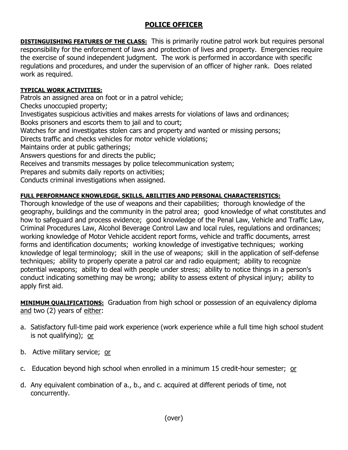## **POLICE OFFICER**

**DISTINGUISHING FEATURES OF THE CLASS:** This is primarily routine patrol work but requires personal responsibility for the enforcement of laws and protection of lives and property. Emergencies require the exercise of sound independent judgment. The work is performed in accordance with specific regulations and procedures, and under the supervision of an officer of higher rank. Does related work as required.

## **TYPICAL WORK ACTIVITIES:**

Patrols an assigned area on foot or in a patrol vehicle;

Checks unoccupied property;

Investigates suspicious activities and makes arrests for violations of laws and ordinances; Books prisoners and escorts them to jail and to court;

Watches for and investigates stolen cars and property and wanted or missing persons;

Directs traffic and checks vehicles for motor vehicle violations;

Maintains order at public gatherings;

Answers questions for and directs the public;

Receives and transmits messages by police telecommunication system;

Prepares and submits daily reports on activities;

Conducts criminal investigations when assigned.

## **FULL PERFORMANCE KNOWLEDGE, SKILLS, ABILITIES AND PERSONAL CHARACTERISTICS:**

Thorough knowledge of the use of weapons and their capabilities; thorough knowledge of the geography, buildings and the community in the patrol area; good knowledge of what constitutes and how to safeguard and process evidence; good knowledge of the Penal Law, Vehicle and Traffic Law, Criminal Procedures Law, Alcohol Beverage Control Law and local rules, regulations and ordinances; working knowledge of Motor Vehicle accident report forms, vehicle and traffic documents, arrest forms and identification documents; working knowledge of investigative techniques; working knowledge of legal terminology; skill in the use of weapons; skill in the application of self-defense techniques; ability to properly operate a patrol car and radio equipment; ability to recognize potential weapons; ability to deal with people under stress; ability to notice things in a person's conduct indicating something may be wrong; ability to assess extent of physical injury; ability to apply first aid.

**MINIMUM QUALIFICATIONS:** Graduation from high school or possession of an equivalency diploma and two (2) years of either:

- a. Satisfactory full-time paid work experience (work experience while a full time high school student is not qualifying); or
- b. Active military service; or
- c. Education beyond high school when enrolled in a minimum 15 credit-hour semester; or
- d. Any equivalent combination of a., b., and c. acquired at different periods of time, not concurrently.